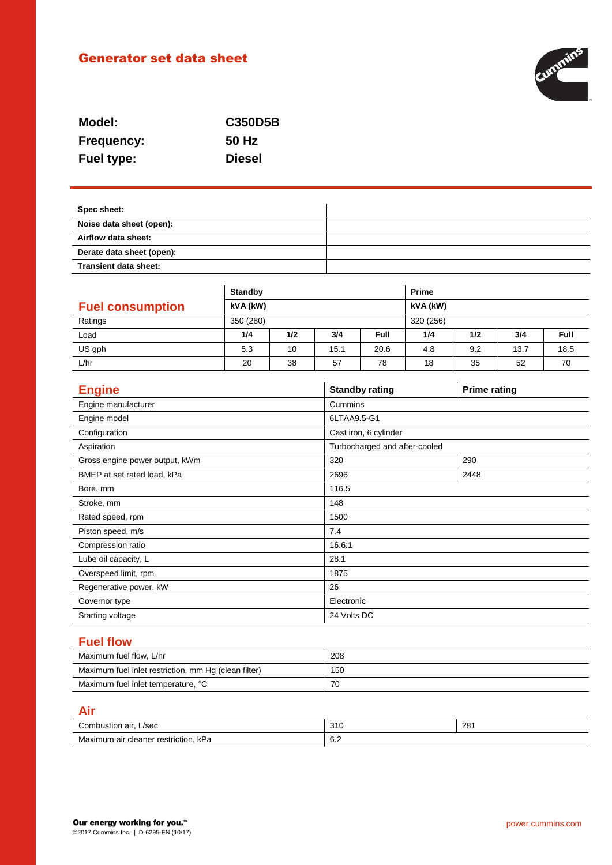# Generator set data sheet



| Model:            | <b>C350D5B</b> |
|-------------------|----------------|
| <b>Frequency:</b> | 50 Hz          |
| <b>Fuel type:</b> | <b>Diesel</b>  |

| Spec sheet:               |  |
|---------------------------|--|
| Noise data sheet (open):  |  |
| Airflow data sheet:       |  |
| Derate data sheet (open): |  |
| Transient data sheet:     |  |

|                         | <b>Standby</b> |     |      | <b>Prime</b> |           |     |      |             |
|-------------------------|----------------|-----|------|--------------|-----------|-----|------|-------------|
| <b>Fuel consumption</b> | kVA (kW)       |     |      |              | kVA (kW)  |     |      |             |
| Ratings                 | 350 (280)      |     |      |              | 320 (256) |     |      |             |
| Load                    | 1/4            | 1/2 | 3/4  | <b>Full</b>  | 1/4       | 1/2 | 3/4  | <b>Full</b> |
| US gph                  | 5.3            | 10  | 15.1 | 20.6         | 4.8       | 9.2 | 13.7 | 18.5        |
| L/hr                    | 20             | 38  | 57   | 78           | 18        | 35  | 52   | 70          |

| <b>Engine</b>                  | <b>Standby rating</b>         | <b>Prime rating</b> |  |
|--------------------------------|-------------------------------|---------------------|--|
| Engine manufacturer            | Cummins                       |                     |  |
| Engine model                   | 6LTAA9.5-G1                   |                     |  |
| Configuration                  | Cast iron, 6 cylinder         |                     |  |
| Aspiration                     | Turbocharged and after-cooled |                     |  |
| Gross engine power output, kWm | 320                           | 290                 |  |
| BMEP at set rated load, kPa    | 2696                          | 2448                |  |
| Bore, mm                       | 116.5                         |                     |  |
| Stroke, mm                     | 148                           |                     |  |
| Rated speed, rpm               | 1500                          |                     |  |
| Piston speed, m/s              | 7.4                           |                     |  |
| Compression ratio              | 16.6:1                        |                     |  |
| Lube oil capacity, L           | 28.1                          |                     |  |
| Overspeed limit, rpm           | 1875                          |                     |  |
| Regenerative power, kW         | 26                            |                     |  |
| Governor type                  | Electronic                    |                     |  |
| Starting voltage               | 24 Volts DC                   |                     |  |

# **Fuel flow**

| Maximum fuel flow. L/hr                              | 208 |
|------------------------------------------------------|-----|
| Maximum fuel inlet restriction, mm Hg (clean filter) | 150 |
| Maximum fuel inlet temperature, °C                   | 70  |

# **Air**

| Combustion air.<br>L/sec             | 310        | 281 |
|--------------------------------------|------------|-----|
| Maximum air cleaner restriction, kPa | e c<br>v.z |     |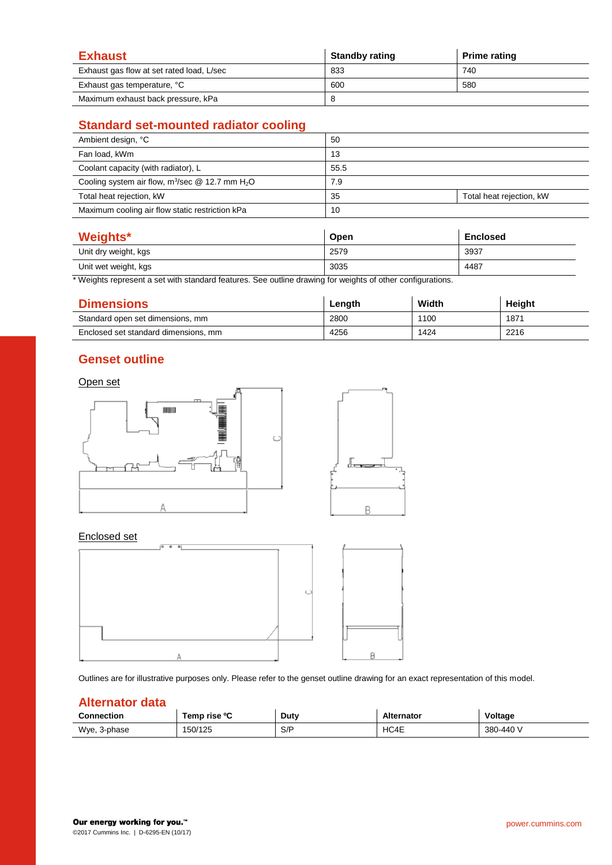| <b>Exhaust</b>                            | <b>Standby rating</b> | <b>Prime rating</b> |
|-------------------------------------------|-----------------------|---------------------|
| Exhaust gas flow at set rated load, L/sec | 833                   | 740                 |
| Exhaust gas temperature, °C               | 600                   | 580                 |
| Maximum exhaust back pressure, kPa        |                       |                     |

# **Standard set-mounted radiator cooling**

| Ambient design, °C                                   | 50   |                          |
|------------------------------------------------------|------|--------------------------|
| Fan load, kWm                                        | 13   |                          |
| Coolant capacity (with radiator), L                  | 55.5 |                          |
| Cooling system air flow, $m^3$ /sec @ 12.7 mm $H_2O$ | 7.9  |                          |
| Total heat rejection, kW                             | 35   | Total heat rejection, kW |
| Maximum cooling air flow static restriction kPa      | 10   |                          |

| Weights*             | Open | <b>Enclosed</b> |
|----------------------|------|-----------------|
| Unit dry weight, kgs | 2579 | 3937            |
| Unit wet weight, kgs | 3035 | 4487            |

\* Weights represent a set with standard features. See outline drawing for weights of other configurations.

| <b>Dimensions</b>                    | Length | Width | Height |
|--------------------------------------|--------|-------|--------|
| Standard open set dimensions, mm     | 2800   | 1100  | 1871   |
| Enclosed set standard dimensions, mm | 4256   | 1424  | 2216   |

### **Genset outline**

#### Open set



#### Enclosed set



Outlines are for illustrative purposes only. Please refer to the genset outline drawing for an exact representation of this model.

#### **Alternator data**

| <b>Connection</b> | Temp rise ºC | Duty | <b>Alternator</b> | Voltage   |
|-------------------|--------------|------|-------------------|-----------|
| Wye,<br>.3-phase  | 150/125      | S/P  | HC4E              | 380-440 V |